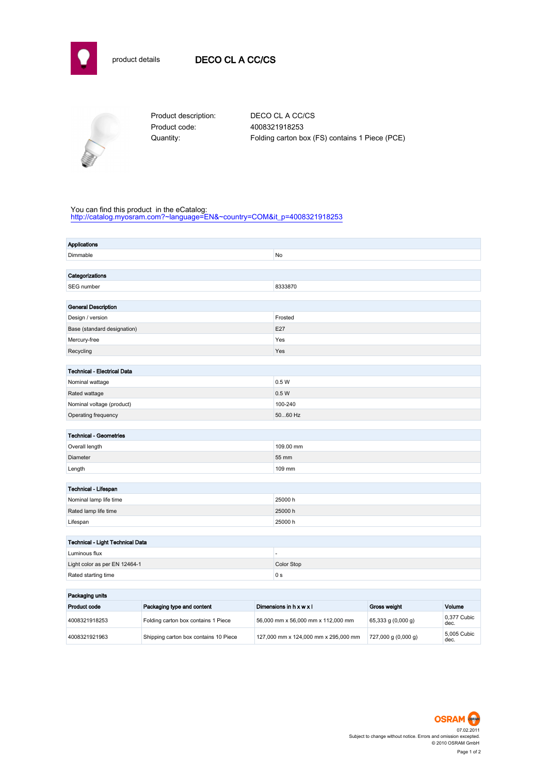



Product code: 4008321918253

Product description: DECO CL A CC/CS Quantity: Folding carton box (FS) contains 1 Piece (PCE)

## You can find this product in the eCatalog:

[http://catalog.myosram.com?~language=EN&~country=COM&it\\_p=4008321918253](http://catalog.myosram.com?~language=EN&~country=COM&it_p=4008321918253)

| Dimmable<br>No<br>Categorizations<br>SEG number<br>8333870<br><b>General Description</b><br>Design / version<br>Frosted<br>E27<br>Base (standard designation)<br>Yes<br>Mercury-free<br>Recycling<br>Yes<br>Technical - Electrical Data<br>0.5W<br>Nominal wattage<br>0.5W<br>Rated wattage<br>100-240<br>Nominal voltage (product)<br>Operating frequency<br>5060 Hz<br><b>Technical - Geometries</b><br>Overall length<br>109.00 mm |
|---------------------------------------------------------------------------------------------------------------------------------------------------------------------------------------------------------------------------------------------------------------------------------------------------------------------------------------------------------------------------------------------------------------------------------------|
|                                                                                                                                                                                                                                                                                                                                                                                                                                       |
|                                                                                                                                                                                                                                                                                                                                                                                                                                       |
|                                                                                                                                                                                                                                                                                                                                                                                                                                       |
|                                                                                                                                                                                                                                                                                                                                                                                                                                       |
|                                                                                                                                                                                                                                                                                                                                                                                                                                       |
|                                                                                                                                                                                                                                                                                                                                                                                                                                       |
|                                                                                                                                                                                                                                                                                                                                                                                                                                       |
|                                                                                                                                                                                                                                                                                                                                                                                                                                       |
|                                                                                                                                                                                                                                                                                                                                                                                                                                       |
|                                                                                                                                                                                                                                                                                                                                                                                                                                       |
|                                                                                                                                                                                                                                                                                                                                                                                                                                       |
|                                                                                                                                                                                                                                                                                                                                                                                                                                       |
|                                                                                                                                                                                                                                                                                                                                                                                                                                       |
|                                                                                                                                                                                                                                                                                                                                                                                                                                       |
|                                                                                                                                                                                                                                                                                                                                                                                                                                       |
|                                                                                                                                                                                                                                                                                                                                                                                                                                       |
|                                                                                                                                                                                                                                                                                                                                                                                                                                       |
|                                                                                                                                                                                                                                                                                                                                                                                                                                       |
|                                                                                                                                                                                                                                                                                                                                                                                                                                       |
| 55 mm<br>Diameter                                                                                                                                                                                                                                                                                                                                                                                                                     |
| Length<br>109 mm                                                                                                                                                                                                                                                                                                                                                                                                                      |
|                                                                                                                                                                                                                                                                                                                                                                                                                                       |
| Technical - Lifespan                                                                                                                                                                                                                                                                                                                                                                                                                  |
| 25000h<br>Nominal lamp life time                                                                                                                                                                                                                                                                                                                                                                                                      |
| Rated lamp life time<br>25000 h                                                                                                                                                                                                                                                                                                                                                                                                       |
| 25000h<br>Lifespan                                                                                                                                                                                                                                                                                                                                                                                                                    |
|                                                                                                                                                                                                                                                                                                                                                                                                                                       |
| Technical - Light Technical Data                                                                                                                                                                                                                                                                                                                                                                                                      |
| Luminous flux<br>÷,                                                                                                                                                                                                                                                                                                                                                                                                                   |
| Color Stop<br>Light color as per EN 12464-1                                                                                                                                                                                                                                                                                                                                                                                           |
| Rated starting time<br>0 <sub>s</sub>                                                                                                                                                                                                                                                                                                                                                                                                 |
| <b>Deckeding unite</b>                                                                                                                                                                                                                                                                                                                                                                                                                |

| Packaging units |                                       |                                      |                         |                     |  |
|-----------------|---------------------------------------|--------------------------------------|-------------------------|---------------------|--|
| Product code    | Packaging type and content            | Dimensions in h x w x l              | Gross weight            | Volume              |  |
| 4008321918253   | Folding carton box contains 1 Piece   | 56,000 mm x 56,000 mm x 112,000 mm   | 65,333 g(0,000 g)       | 0.377 Cubic<br>dec. |  |
| 4008321921963   | Shipping carton box contains 10 Piece | 127,000 mm x 124,000 mm x 295,000 mm | $727,000$ g $(0,000$ g) | 5.005 Cubic<br>dec. |  |